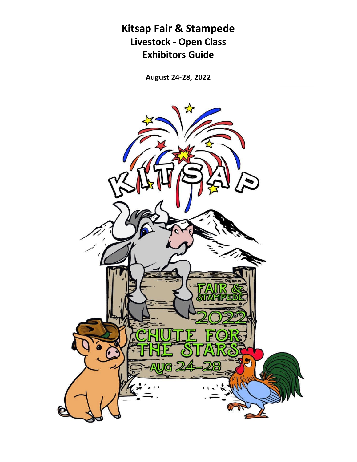# **Kitsap Fair & Stampede Livestock - Open Class Exhibitors Guide**

**August 24-28, 2022**

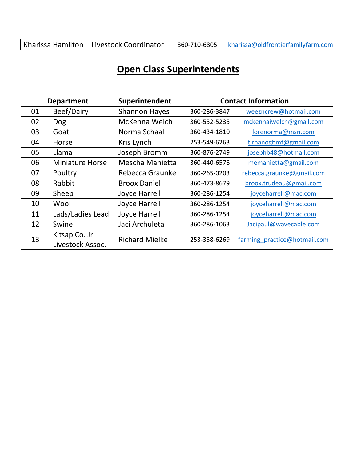# Kharissa Hamilton Livestock Coordinator 360-710-6805 [kharissa@oldfrontierfamilyfarm.com](mailto:kharissa@oldfrontierfamilyfarm.com)

# **Open Class Superintendents**

|    | <b>Department</b>                  | Superintendent        |              | <b>Contact Information</b>   |
|----|------------------------------------|-----------------------|--------------|------------------------------|
| 01 | Beef/Dairy                         | <b>Shannon Hayes</b>  | 360-286-3847 | weezncrew@hotmail.com        |
| 02 | Dog                                | McKenna Welch         | 360-552-5235 | mckennaiwelch@gmail.com      |
| 03 | Goat                               | Norma Schaal          | 360-434-1810 | lorenorma@msn.com            |
| 04 | Horse                              | Kris Lynch            | 253-549-6263 | tirnanogbmf@gmail.com        |
| 05 | Llama                              | Joseph Bromm          | 360-876-2749 | josephb48@hotmail.com        |
| 06 | <b>Miniature Horse</b>             | Mescha Manietta       | 360-440-6576 | memanietta@gmail.com         |
| 07 | Poultry                            | Rebecca Graunke       | 360-265-0203 | rebecca.graunke@gmail.com    |
| 08 | Rabbit                             | <b>Broox Daniel</b>   | 360-473-8679 | broox.trudeau@gmail.com      |
| 09 | Sheep                              | <b>Joyce Harrell</b>  | 360-286-1254 | joyceharrell@mac.com         |
| 10 | Wool                               | <b>Joyce Harrell</b>  | 360-286-1254 | joyceharrell@mac.com         |
| 11 | Lads/Ladies Lead                   | <b>Joyce Harrell</b>  | 360-286-1254 | joyceharrell@mac.com         |
| 12 | Swine                              | Jaci Archuleta        | 360-286-1063 | Jacipaul@wavecable.com       |
| 13 | Kitsap Co. Jr.<br>Livestock Assoc. | <b>Richard Mielke</b> | 253-358-6269 | farming practice@hotmail.com |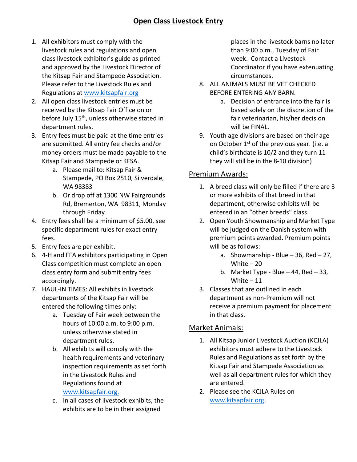# **Open Class Livestock Entry**

- 1. All exhibitors must comply with the livestock rules and regulations and open class livestock exhibitor's guide as printed and approved by the Livestock Director of the Kitsap Fair and Stampede Association. Please refer to the Livestock Rules and Regulations at [www.kitsapfair.org](http://www.kitsapfair.org/)
- 2. All open class livestock entries must be received by the Kitsap Fair Office on or before July 15<sup>th</sup>, unless otherwise stated in department rules.
- 3. Entry fees must be paid at the time entries are submitted. All entry fee checks and/or money orders must be made payable to the Kitsap Fair and Stampede or KFSA.
	- a. Please mail to: Kitsap Fair & Stampede, PO Box 2510, Silverdale, WA 98383
	- b. Or drop off at 1300 NW Fairgrounds Rd, Bremerton, WA 98311, Monday through Friday
- 4. Entry fees shall be a minimum of \$5.00, see specific department rules for exact entry fees.
- 5. Entry fees are per exhibit.
- 6. 4-H and FFA exhibitors participating in Open Class competition must complete an open class entry form and submit entry fees accordingly.
- 7. HAUL-IN TIMES: All exhibits in livestock departments of the Kitsap Fair will be entered the following times only:
	- a. Tuesday of Fair week between the hours of 10:00 a.m. to 9:00 p.m. unless otherwise stated in department rules.
	- b. All exhibits will comply with the health requirements and veterinary inspection requirements as set forth in the Livestock Rules and Regulations found at [www.kitsapfair.o](http://www.kitsapfair.net/)rg.
	- c. In all cases of livestock exhibits, the exhibits are to be in their assigned

places in the livestock barns no later than 9:00 p.m., Tuesday of Fair week. Contact a Livestock Coordinator if you have extenuating circumstances.

- 8. ALL ANIMALS MUST BE VET CHECKED BEFORE ENTERING ANY BARN.
	- a. Decision of entrance into the fair is based solely on the discretion of the fair veterinarian, his/her decision will be FINAL.
- 9. Youth age divisions are based on their age on October 1<sup>st</sup> of the previous year. (i.e. a child's birthdate is 10/2 and they turn 11 they will still be in the 8-10 division)

### Premium Awards:

- 1. A breed class will only be filled if there are 3 or more exhibits of that breed in that department, otherwise exhibits will be entered in an "other breeds" class.
- 2. Open Youth Showmanship and Market Type will be judged on the Danish system with premium points awarded. Premium points will be as follows:
	- a. Showmanship Blue  $-$  36, Red  $-$  27, White  $-20$
	- b. Market Type Blue  $-44$ , Red  $-33$ , White  $-11$
- 3. Classes that are outlined in each department as non-Premium will not receive a premium payment for placement in that class.

### Market Animals:

- 1. All Kitsap Junior Livestock Auction (KCJLA) exhibitors must adhere to the Livestock Rules and Regulations as set forth by the Kitsap Fair and Stampede Association as well as all department rules for which they are entered.
- 2. Please see the KCJLA Rules on [www.kitsapfair.o](http://www.kitsapfair.net/)rg.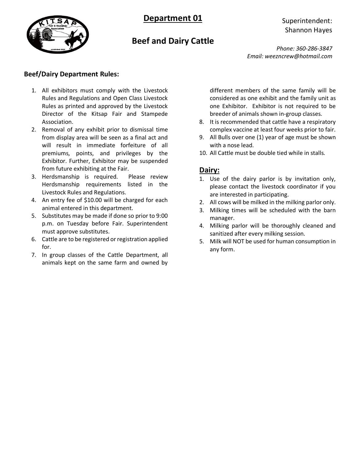

# **Beef and Dairy Cattle**

Superintendent: Shannon Hayes

*Phone: 360-286-3847 Email: weezncrew@hotmail.com*

#### **Beef/Dairy Department Rules:**

- 1. All exhibitors must comply with the Livestock Rules and Regulations and Open Class Livestock Rules as printed and approved by the Livestock Director of the Kitsap Fair and Stampede Association.
- 2. Removal of any exhibit prior to dismissal time from display area will be seen as a final act and will result in immediate forfeiture of all premiums, points, and privileges by the Exhibitor. Further, Exhibitor may be suspended from future exhibiting at the Fair.
- 3. Herdsmanship is required. Please review Herdsmanship requirements listed in the Livestock Rules and Regulations.
- 4. An entry fee of \$10.00 will be charged for each animal entered in this department.
- 5. Substitutes may be made if done so prior to 9:00 p.m. on Tuesday before Fair. Superintendent must approve substitutes.
- 6. Cattle are to be registered or registration applied for.
- 7. In group classes of the Cattle Department, all animals kept on the same farm and owned by

different members of the same family will be considered as one exhibit and the family unit as one Exhibitor. Exhibitor is not required to be breeder of animals shown in-group classes.

- 8. It is recommended that cattle have a respiratory complex vaccine at least four weeks prior to fair.
- 9. All Bulls over one (1) year of age must be shown with a nose lead.
- 10. All Cattle must be double tied while in stalls.

## **Dairy:**

- 1. Use of the dairy parlor is by invitation only, please contact the livestock coordinator if you are interested in participating.
- 2. All cows will be milked in the milking parlor only.
- 3. Milking times will be scheduled with the barn manager.
- 4. Milking parlor will be thoroughly cleaned and sanitized after every milking session.
- 5. Milk will NOT be used for human consumption in any form.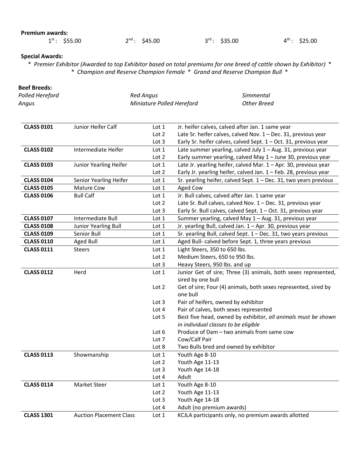#### **Premium awards:**

#### **Special Awards:**

\* *Premier Exhibitor (Awarded to top Exhibitor based on total premiums for one breed of cattle shown by Exhibitor)* \* \* *Champion and Reserve Champion Female* \* *Grand and Reserve Champion Bull* \*

#### **Beef Breeds:**

| Polled Hereford | <b>Red Angus</b>          | Simmental   |
|-----------------|---------------------------|-------------|
| Angus           | Miniature Polled Hereford | Other Breed |

| <b>CLASS 0101</b> | Junior Heifer Calf             | Lot 1            | Jr. heifer calves, calved after Jan. 1 same year                                 |
|-------------------|--------------------------------|------------------|----------------------------------------------------------------------------------|
|                   |                                | Lot 2            | Late Sr. heifer calves, calved Nov. 1 - Dec. 31, previous year                   |
|                   |                                | Lot 3            | Early Sr. heifer calves, calved Sept. 1 - Oct. 31, previous year                 |
| <b>CLASS 0102</b> | Intermediate Heifer            | Lot $1$          | Late summer yearling, calved July 1 - Aug. 31, previous year                     |
|                   |                                | Lot 2            | Early summer yearling, calved May 1 - June 30, previous year                     |
| <b>CLASS 0103</b> | Junior Yearling Heifer         | Lot 1            | Late Jr. yearling heifer, calved Mar. 1 - Apr. 30, previous year                 |
|                   |                                | Lot 2            | Early Jr. yearling heifer, calved Jan. 1 - Feb. 28, previous year                |
| <b>CLASS 0104</b> | Senior Yearling Heifer         | Lot 1            | Sr. yearling heifer, calved Sept. $1 - Dec.$ 31, two years previous              |
| <b>CLASS 0105</b> | Mature Cow                     | Lot 1            | Aged Cow                                                                         |
| <b>CLASS 0106</b> | <b>Bull Calf</b>               | Lot 1            | Jr. Bull calves, calved after Jan. 1 same year                                   |
|                   |                                | Lot 2            | Late Sr. Bull calves, calved Nov. 1 - Dec. 31, previous year                     |
|                   |                                | Lot 3            | Early Sr. Bull calves, calved Sept. 1 - Oct. 31, previous year                   |
| <b>CLASS 0107</b> | Intermediate Bull              | Lot 1            | Summer yearling, calved May 1 - Aug. 31, previous year                           |
| <b>CLASS 0108</b> | Junior Yearling Bull           | Lot 1            | Jr. yearling Bull, calved Jan. 1 - Apr. 30, previous year                        |
| <b>CLASS 0109</b> | Senior Bull                    | Lot 1            | Sr. yearling Bull, calved Sept. 1 - Dec. 31, two years previous                  |
| <b>CLASS 0110</b> | <b>Aged Bull</b>               | Lot 1            | Aged Bull- calved before Sept. 1, three years previous                           |
| <b>CLASS 0111</b> | <b>Steers</b>                  | Lot 1            | Light Steers, 350 to 650 lbs.                                                    |
|                   |                                | Lot <sub>2</sub> | Medium Steers, 650 to 950 lbs.                                                   |
|                   |                                | Lot 3            | Heavy Steers, 950 lbs. and up                                                    |
| <b>CLASS 0112</b> | Herd                           | Lot 1            | Junior Get of sire; Three (3) animals, both sexes represented,                   |
|                   |                                |                  | sired by one bull                                                                |
|                   |                                | Lot 2            | Get of sire; Four (4) animals, both sexes represented, sired by                  |
|                   |                                |                  | one bull                                                                         |
|                   |                                | Lot <sub>3</sub> | Pair of heifers, owned by exhibitor                                              |
|                   |                                | Lot 4            | Pair of calves, both sexes represented                                           |
|                   |                                | Lot 5            | Best five head, owned by exhibitor, all animals must be shown                    |
|                   |                                |                  | in individual classes to be eligible                                             |
|                   |                                | Lot $6$          | Produce of Dam - two animals from same cow                                       |
|                   |                                | Lot 7            | Cow/Calf Pair                                                                    |
|                   |                                | Lot 8            | Two Bulls bred and owned by exhibitor                                            |
| <b>CLASS 0113</b> | Showmanship                    | Lot 1            | Youth Age 8-10                                                                   |
|                   |                                | Lot 2            | Youth Age 11-13                                                                  |
|                   |                                | Lot <sub>3</sub> | Youth Age 14-18                                                                  |
|                   |                                | Lot 4            | Adult                                                                            |
| <b>CLASS 0114</b> | Market Steer                   | Lot 1            | Youth Age 8-10                                                                   |
|                   |                                | Lot <sub>2</sub> | Youth Age 11-13                                                                  |
|                   |                                |                  |                                                                                  |
|                   |                                | Lot 3            | Youth Age 14-18                                                                  |
| <b>CLASS 1301</b> | <b>Auction Placement Class</b> | Lot 4<br>Lot 1   | Adult (no premium awards)<br>KCJLA participants only, no premium awards allotted |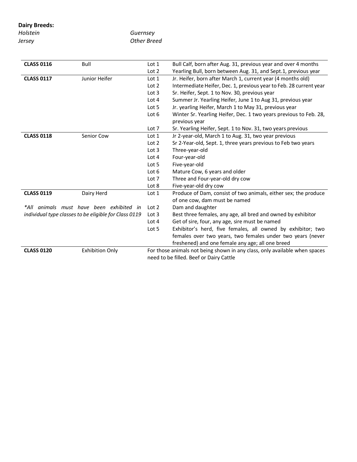**Dairy Breeds:**

| Holstein |  |  |
|----------|--|--|
| Jersey   |  |  |

*Guernsey Other Breed*

| <b>CLASS 0116</b> | Bull                                                  | Lot 1            | Bull Calf, born after Aug. 31, previous year and over 4 months             |
|-------------------|-------------------------------------------------------|------------------|----------------------------------------------------------------------------|
|                   |                                                       | Lot <sub>2</sub> | Yearling Bull, born between Aug. 31, and Sept.1, previous year             |
| <b>CLASS 0117</b> | Junior Heifer                                         | Lot 1            | Jr. Heifer, born after March 1, current year (4 months old)                |
|                   |                                                       | Lot <sub>2</sub> | Intermediate Heifer, Dec. 1, previous year to Feb. 28 current year         |
|                   |                                                       | Lot <sub>3</sub> | Sr. Heifer, Sept. 1 to Nov. 30, previous year                              |
|                   |                                                       | Lot $4$          | Summer Jr. Yearling Heifer, June 1 to Aug 31, previous year                |
|                   |                                                       | Lot 5            | Jr. yearling Heifer, March 1 to May 31, previous year                      |
|                   |                                                       | Lot 6            | Winter Sr. Yearling Heifer, Dec. 1 two years previous to Feb. 28,          |
|                   |                                                       |                  | previous year                                                              |
|                   |                                                       | Lot 7            | Sr. Yearling Heifer, Sept. 1 to Nov. 31, two years previous                |
| <b>CLASS 0118</b> | Senior Cow                                            | Lot 1            | Jr 2-year-old, March 1 to Aug. 31, two year previous                       |
|                   |                                                       | Lot <sub>2</sub> | Sr 2-Year-old, Sept. 1, three years previous to Feb two years              |
|                   |                                                       | Lot <sub>3</sub> | Three-year-old                                                             |
|                   |                                                       | Lot $4$          | Four-year-old                                                              |
|                   |                                                       | Lot 5            | Five-year-old                                                              |
|                   |                                                       | Lot $6$          | Mature Cow, 6 years and older                                              |
|                   |                                                       | Lot 7            | Three and Four-year-old dry cow                                            |
|                   |                                                       | Lot 8            | Five-year-old dry cow                                                      |
| <b>CLASS 0119</b> | Dairy Herd                                            | Lot 1            | Produce of Dam, consist of two animals, either sex; the produce            |
|                   |                                                       |                  | of one cow, dam must be named                                              |
|                   | *All animals must have been exhibited in              | Lot <sub>2</sub> | Dam and daughter                                                           |
|                   | individual type classes to be eligible for Class 0119 | Lot 3            | Best three females, any age, all bred and owned by exhibitor               |
|                   |                                                       | Lot 4            | Get of sire, four, any age, sire must be named                             |
|                   |                                                       | Lot 5            | Exhibitor's herd, five females, all owned by exhibitor; two                |
|                   |                                                       |                  | females over two years, two females under two years (never                 |
|                   |                                                       |                  | freshened) and one female any age; all one breed                           |
| <b>CLASS 0120</b> | <b>Exhibition Only</b>                                |                  | For those animals not being shown in any class, only available when spaces |
|                   |                                                       |                  | need to be filled. Beef or Dairy Cattle                                    |
|                   |                                                       |                  |                                                                            |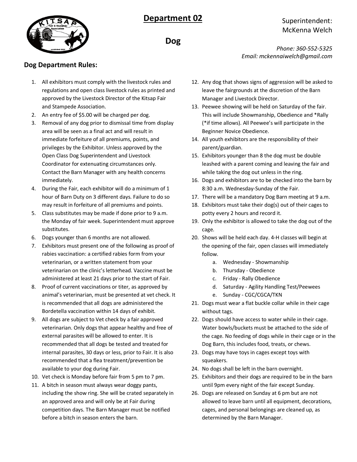

## Superintendent: McKenna Welch

**Dog**

*Phone: 360-552-5325 Email: mckennaiwelch@gmail.com*

#### **Dog Department Rules:**

- 1. All exhibitors must comply with the livestock rules and regulations and open class livestock rules as printed and approved by the Livestock Director of the Kitsap Fair and Stampede Association.
- 2. An entry fee of \$5.00 will be charged per dog.
- 3. Removal of any dog prior to dismissal time from display area will be seen as a final act and will result in immediate forfeiture of all premiums, points, and privileges by the Exhibitor. Unless approved by the Open Class Dog Superintendent and Livestock Coordinator for extenuating circumstances only. Contact the Barn Manager with any health concerns immediately.
- 4. During the Fair, each exhibitor will do a minimum of 1 hour of Barn Duty on 3 different days. Failure to do so may result in forfeiture of all premiums and points.
- 5. Class substitutes may be made if done prior to 9 a.m. the Monday of fair week. Superintendent must approve substitutes.
- 6. Dogs younger than 6 months are not allowed.
- 7. Exhibitors must present one of the following as proof of rabies vaccination: a certified rabies form from your veterinarian, or a written statement from your veterinarian on the clinic's letterhead. Vaccine must be administered at least 21 days prior to the start of Fair.
- 8. Proof of current vaccinations or titer, as approved by animal's veterinarian, must be presented at vet check. It is recommended that all dogs are administered the Bordetella vaccination within 14 days of exhibit.
- 9. All dogs are subject to Vet check by a fair approved veterinarian. Only dogs that appear healthy and free of external parasites will be allowed to enter. It is recommended that all dogs be tested and treated for internal parasites, 30 days or less, prior to Fair. It is also recommended that a flea treatment/prevention be available to your dog during Fair.
- 10. Vet check is Monday before fair from 5 pm to 7 pm.
- 11. A bitch in season must always wear doggy pants, including the show ring. She will be crated separately in an approved area and will only be at Fair during competition days. The Barn Manager must be notified before a bitch in season enters the barn.
- 12. Any dog that shows signs of aggression will be asked to leave the fairgrounds at the discretion of the Barn Manager and Livestock Director.
- 13. Peewee showing will be held on Saturday of the fair. This will include Showmanship, Obedience and \*Rally (\*if time allows). All Peewee's will participate in the Beginner Novice Obedience.
- 14. All youth exhibitors are the responsibility of their parent/guardian.
- 15. Exhibitors younger than 8 the dog must be double leashed with a parent coming and leaving the fair and while taking the dog out unless in the ring.
- 16. Dogs and exhibitors are to be checked into the barn by 8:30 a.m. Wednesday-Sunday of the Fair.
- 17. There will be a mandatory Dog Barn meeting at 9 a.m.
- 18. Exhibitors must take their dog(s) out of their cages to potty every 2 hours and record it.
- 19. Only the exhibitor is allowed to take the dog out of the cage.
- 20. Shows will be held each day. 4-H classes will begin at the opening of the fair, open classes will immediately follow.
	- a. Wednesday Showmanship
	- b. Thursday Obedience
	- c. Friday Rally Obedience
	- d. Saturday Agility Handling Test/Peewees
	- e. Sunday CGC/CGCA/TKN
- 21. Dogs must wear a flat buckle collar while in their cage without tags.
- 22. Dogs should have access to water while in their cage. Water bowls/buckets must be attached to the side of the cage. No feeding of dogs while in their cage or in the Dog Barn, this includes food, treats, or chews.
- 23. Dogs may have toys in cages except toys with squeakers.
- 24. No dogs shall be left in the barn overnight.
- 25. Exhibitors and their dogs are required to be in the barn until 9pm every night of the fair except Sunday.
- 26. Dogs are released on Sunday at 6 pm but are not allowed to leave barn until all equipment, decorations, cages, and personal belongings are cleaned up, as determined by the Barn Manager.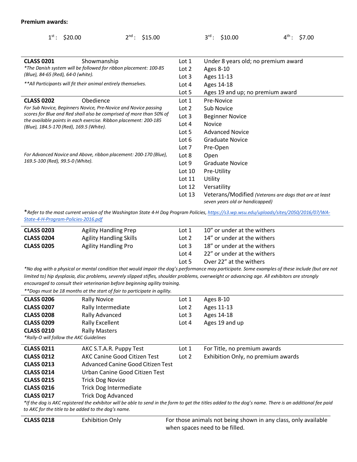#### **Premium awards:**

| $1^{st}$ : \$20.00                                               | $2^{nd}$ :<br>\$15.00                                               |                  | $3^{rd}$ : \$10.00                  | $4^{\text{th}}$ :<br>\$7.00                            |
|------------------------------------------------------------------|---------------------------------------------------------------------|------------------|-------------------------------------|--------------------------------------------------------|
|                                                                  |                                                                     |                  |                                     |                                                        |
| <b>CLASS 0201</b>                                                | Showmanship                                                         | Lot 1<br>Lot 2   | Under 8 years old; no premium award |                                                        |
| *The Danish system will be followed for ribbon placement: 100-85 |                                                                     |                  | Ages 8-10                           |                                                        |
| (Blue), 84-65 (Red), 64-0 (white).                               |                                                                     | Lot $3$          | Ages 11-13                          |                                                        |
|                                                                  | **All Participants will fit their animal entirely themselves.       | Lot 4            | Ages 14-18                          |                                                        |
|                                                                  |                                                                     | Lot 5            | Ages 19 and up; no premium award    |                                                        |
| <b>CLASS 0202</b>                                                | Obedience                                                           | Lot 1            | Pre-Novice                          |                                                        |
|                                                                  | For Sub Novice, Beginners Novice, Pre-Novice and Novice passing     | Lot <sub>2</sub> | Sub Novice                          |                                                        |
|                                                                  | scores for Blue and Red shall also be comprised of more than 50% of | Lot <sub>3</sub> | <b>Beginner Novice</b>              |                                                        |
| (Blue), 184.5-170 (Red), 169.5 (White).                          | the available points in each exercise. Ribbon placement: 200-185    | Lot $4$          | <b>Novice</b>                       |                                                        |
|                                                                  |                                                                     | Lot 5            | <b>Advanced Novice</b>              |                                                        |
|                                                                  |                                                                     | Lot $6$          | <b>Graduate Novice</b>              |                                                        |
|                                                                  |                                                                     | Lot 7            | Pre-Open                            |                                                        |
|                                                                  | For Advanced Novice and Above, ribbon placement: 200-170 (Blue),    | Lot 8            | Open                                |                                                        |
| 169.5-100 (Red), 99.5-0 (White).                                 |                                                                     | Lot <sub>9</sub> | <b>Graduate Novice</b>              |                                                        |
|                                                                  |                                                                     | Lot 10           | Pre-Utility                         |                                                        |
|                                                                  |                                                                     | Lot $11$         | Utility                             |                                                        |
|                                                                  |                                                                     | Lot $12$         | Versatility                         |                                                        |
|                                                                  |                                                                     | Lot $13$         | seven years old or handicapped)     | Veterans/Modified (Veterans are dogs that are at least |

\**Refer to the most current version of the Washington State 4-H Dog Program Policies[, https://s3.wp.wsu.edu/uploads/sites/2050/2016/07/WA-](https://s3.wp.wsu.edu/uploads/sites/2050/2016/07/WA-State-4-H-Program-Policies-2016.pdf)[State-4-H-Program-Policies-2016.pdf](https://s3.wp.wsu.edu/uploads/sites/2050/2016/07/WA-State-4-H-Program-Policies-2016.pdf)*

| <b>CLASS 0203</b> | <b>Agility Handling Prep</b>   | Lot 1   | 10" or under at the withers |
|-------------------|--------------------------------|---------|-----------------------------|
| <b>CLASS 0204</b> | <b>Agility Handling Skills</b> | Lot 2   | 14" or under at the withers |
| <b>CLASS 0205</b> | <b>Agility Handling Pro</b>    | Lot $3$ | 18" or under at the withers |
|                   |                                | Lot 4   | 22" or under at the withers |
|                   |                                | Lot $5$ | Over 22" at the withers     |
| $\frac{1}{2}$     |                                |         |                             |

*\*No dog with a physical or mental condition that would impair the dog's performance may participate. Some examples of these include (but are not limited to) hip dysplasia, disc problems, severely slipped stifles, shoulder problems, overweight or advancing age. All exhibitors are strongly encouraged to consult their veterinarian before beginning agility training.*

|                                         | **Dogs must be 18 months at the start of fair to participate in agility. |         |                                                                                                                                                         |
|-----------------------------------------|--------------------------------------------------------------------------|---------|---------------------------------------------------------------------------------------------------------------------------------------------------------|
| <b>CLASS 0206</b>                       | <b>Rally Novice</b>                                                      | Lot 1   | Ages 8-10                                                                                                                                               |
| <b>CLASS 0207</b>                       | Rally Intermediate                                                       | Lot 2   | Ages 11-13                                                                                                                                              |
| <b>CLASS 0208</b>                       | Rally Advanced                                                           | Lot $3$ | Ages 14-18                                                                                                                                              |
| <b>CLASS 0209</b>                       | <b>Rally Excellent</b>                                                   | Lot $4$ | Ages 19 and up                                                                                                                                          |
| <b>CLASS 0210</b>                       | <b>Rally Masters</b>                                                     |         |                                                                                                                                                         |
| *Rally-O will follow the AKC Guidelines |                                                                          |         |                                                                                                                                                         |
| <b>CLASS 0211</b>                       | AKC S.T.A.R. Puppy Test                                                  | Lot 1   | For Title, no premium awards                                                                                                                            |
| <b>CLASS 0212</b>                       | AKC Canine Good Citizen Test                                             | Lot 2   | Exhibition Only, no premium awards                                                                                                                      |
| <b>CLASS 0213</b>                       | Advanced Canine Good Citizen Test                                        |         |                                                                                                                                                         |
| <b>CLASS 0214</b>                       | Urban Canine Good Citizen Test                                           |         |                                                                                                                                                         |
| <b>CLASS 0215</b>                       | <b>Trick Dog Novice</b>                                                  |         |                                                                                                                                                         |
| <b>CLASS 0216</b>                       | <b>Trick Dog Intermediate</b>                                            |         |                                                                                                                                                         |
| <b>CLASS 0217</b>                       | <b>Trick Dog Advanced</b>                                                |         |                                                                                                                                                         |
|                                         |                                                                          |         | *If the dog is AKC registered the exhibitor will be able to send in the form to get the titles added to the dog's name. There is an additional fee paid |

*to AKC for the title to be added to the dog's name.* 

**CLASS 0218** Exhibition Only **Exhibition Change For those animals not being shown in any class, only available** when spaces need to be filled.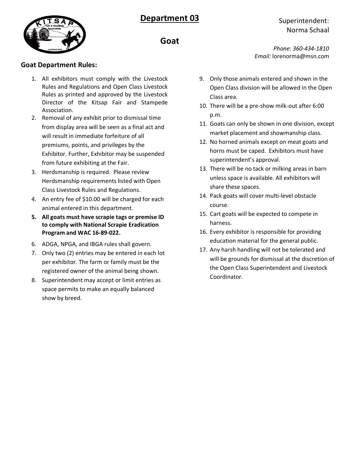

*Phone: 360-434-1810 Email:* lorenorma@msn.com

- 9. Only those animals entered and shown in the Open Class division will be allowed in the Open Class area.
- 10. There will be a pre-show milk-out after 6:00 p.m.
- 11. Goats can only be shown in one division, except market placement and showmanship class.
- 12. No horned animals except on meat goats and horns must be caped. Exhibitors must have superintendent's approval.
- 13. There will be no tack or milking areas in barn unless space is available. All exhibitors will share these spaces.
- 14. Pack goats will cover multi-level obstacle course.
- 15. Cart goats will be expected to compete in harness.
- 16. Every exhibitor is responsible for providing education material for the general public.
- 17. Any harsh handling will not be tolerated and will be grounds for dismissal at the discretion of the Open Class Superintendent and Livestock Coordinator.



# **Goat**

#### **Goat Department Rules:**

- 1. All exhibitors must comply with the Livestock Rules and Regulations and Open Class Livestock Rules as printed and approved by the Livestock Director of the Kitsap Fair and Stampede Association.
- 2. Removal of any exhibit prior to dismissal time from display area will be seen as a final act and will result in immediate forfeiture of all premiums, points, and privileges by the Exhibitor. Further, Exhibitor may be suspended from future exhibiting at the Fair.
- 3. Herdsmanship is required. Please review Herdsmanship requirements listed with Open Class Livestock Rules and Regulations.
- 4. An entry fee of \$10.00 will be charged for each animal entered in this department.
- **5. All goats must have scrapie tags or premise ID to comply with National Scrapie Eradication Program and WAC 16-89-022.**
- 6. ADGA, NPGA, and IBGA rules shall govern.
- 7. Only two (2) entries may be entered in each lot per exhibitor. The farm or family must be the registered owner of the animal being shown.
- 8. Superintendent may accept or limit entries as space permits to make an equally balanced show by breed.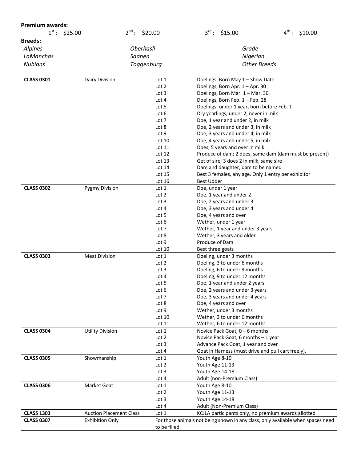| <b>Premium awards:</b> |                                |                  |                                                                                 |                                                        |
|------------------------|--------------------------------|------------------|---------------------------------------------------------------------------------|--------------------------------------------------------|
| $1^{st}$ : \$25.00     | $2^{\text{nd}}$ :              | \$20.00          | $3^{rd}$ : \$15.00                                                              | $4^{\text{th}}$ :<br>\$10.00                           |
| <b>Breeds:</b>         |                                |                  |                                                                                 |                                                        |
| Alpines                | <b>Oberhasli</b>               |                  | Grade                                                                           |                                                        |
| LaManchas              | Saanen                         |                  | Nigerian                                                                        |                                                        |
| <b>Nubians</b>         |                                | Toggenburg       | <b>Other Breeds</b>                                                             |                                                        |
|                        |                                |                  |                                                                                 |                                                        |
| <b>CLASS 0301</b>      | Dairy Division                 | Lot 1            | Doelings, Born May 1 - Show Date                                                |                                                        |
|                        |                                | Lot 2            | Doelings, Born Apr. 1 - Apr. 30                                                 |                                                        |
|                        |                                | Lot 3            | Doelings, Born Mar. 1 - Mar. 30                                                 |                                                        |
|                        |                                | Lot 4            | Doelings, Born Feb. 1 - Feb. 28                                                 |                                                        |
|                        |                                | Lot 5            | Doelings, under 1 year, born before Feb. 1                                      |                                                        |
|                        |                                | Lot 6            | Dry yearlings, under 2, never in milk                                           |                                                        |
|                        |                                | Lot 7            | Doe, 1 year and under 2, in milk                                                |                                                        |
|                        |                                | Lot 8            | Doe, 2 years and under 3, in milk                                               |                                                        |
|                        |                                | Lot 9            | Doe, 3 years and under 4, in milk                                               |                                                        |
|                        |                                | Lot 10           | Doe, 4 years and under 5, in milk                                               |                                                        |
|                        |                                | Lot 11           | Does, 5 years and over in milk                                                  |                                                        |
|                        |                                | Lot 12           |                                                                                 | Produce of dam; 2 does, same dam (dam must be present) |
|                        |                                | Lot 13           | Get of sire; 3 does 2 in milk, same sire                                        |                                                        |
|                        |                                | Lot 14           | Dam and daughter, dam to be named                                               |                                                        |
|                        |                                | Lot 15           | Best 3 females, any age. Only 1 entry per exhibitor                             |                                                        |
|                        |                                | Lot 16           | <b>Best Udder</b>                                                               |                                                        |
| <b>CLASS 0302</b>      | <b>Pygmy Division</b>          | Lot 1<br>Lot 2   | Doe, under 1 year                                                               |                                                        |
|                        |                                | Lot 3            | Doe, 1 year and under 2<br>Doe, 2 years and under 3                             |                                                        |
|                        |                                | Lot 4            | Doe, 3 years and under 4                                                        |                                                        |
|                        |                                | Lot 5            | Doe, 4 years and over                                                           |                                                        |
|                        |                                | Lot 6            | Wether, under 1 year                                                            |                                                        |
|                        |                                | Lot 7            | Wether, 1 year and under 3 years                                                |                                                        |
|                        |                                | Lot 8            | Wether, 3 years and older                                                       |                                                        |
|                        |                                | Lot 9            | Produce of Dam                                                                  |                                                        |
|                        |                                | Lot 10           | Best three goats                                                                |                                                        |
| <b>CLASS 0303</b>      | <b>Meat Division</b>           | Lot 1            | Doeling, under 3 months                                                         |                                                        |
|                        |                                | Lot <sub>2</sub> | Doeling, 3 to under 6 months                                                    |                                                        |
|                        |                                | Lot 3            | Doeling, 6 to under 9 months                                                    |                                                        |
|                        |                                | Lot 4            | Doeling, 9 to under 12 months                                                   |                                                        |
|                        |                                | Lot 5            | Doe, 1 year and under 2 years                                                   |                                                        |
|                        |                                | Lot 6            | Doe, 2 years and under 3 years                                                  |                                                        |
|                        |                                | Lot 7            | Doe, 3 years and under 4 years                                                  |                                                        |
|                        |                                | Lot 8            | Doe, 4 years and over                                                           |                                                        |
|                        |                                | Lot 9            | Wether, under 3 months                                                          |                                                        |
|                        |                                | Lot 10<br>Lot 11 | Wether, 3 to under 6 months                                                     |                                                        |
| <b>CLASS 0304</b>      | <b>Utility Division</b>        |                  | Wether, 6 to under 12 months<br>Novice Pack Goat, 0 - 6 months                  |                                                        |
|                        |                                | Lot 1<br>Lot 2   | Novice Pack Goat, 6 months - 1 year                                             |                                                        |
|                        |                                | Lot 3            | Advance Pack Goat, 1 year and over                                              |                                                        |
|                        |                                | Lot 4            | Goat in Harness (must drive and pull cart freely).                              |                                                        |
| <b>CLASS 0305</b>      | Showmanship                    | Lot 1            | Youth Age 8-10                                                                  |                                                        |
|                        |                                | Lot 2            | Youth Age 11-13                                                                 |                                                        |
|                        |                                | Lot 3            | Youth Age 14-18                                                                 |                                                        |
|                        |                                | Lot 4            | Adult (non-Premium Class)                                                       |                                                        |
| <b>CLASS 0306</b>      | Market Goat                    | Lot 1            | Youth Age 8-10                                                                  |                                                        |
|                        |                                | Lot 2            | Youth Age 11-13                                                                 |                                                        |
|                        |                                | Lot 3            | Youth Age 14-18                                                                 |                                                        |
|                        |                                | Lot 4            | Adult (Non-Premium Class)                                                       |                                                        |
| <b>CLASS 1303</b>      | <b>Auction Placement Class</b> | Lot 1            | KCJLA participants only, no premium awards allotted                             |                                                        |
| <b>CLASS 0307</b>      | <b>Exhibition Only</b>         |                  | For those animals not being shown in any class, only available when spaces need |                                                        |
|                        |                                | to be filled.    |                                                                                 |                                                        |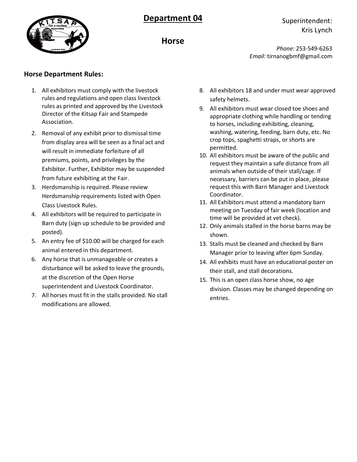



### Superintendent: Kris Lynch

**Horse**

*Phone:* 253-549-6263 *Email:* tirnanogbmf@gmail.com

#### **Horse Department Rules:**

- 1. All exhibitors must comply with the livestock rules and regulations and open class livestock rules as printed and approved by the Livestock Director of the Kitsap Fair and Stampede Association.
- 2. Removal of any exhibit prior to dismissal time from display area will be seen as a final act and will result in immediate forfeiture of all premiums, points, and privileges by the Exhibitor. Further, Exhibitor may be suspended from future exhibiting at the Fair.
- 3. Herdsmanship is required. Please review Herdsmanship requirements listed with Open Class Livestock Rules.
- 4. All exhibitors will be required to participate in Barn duty (sign up schedule to be provided and posted).
- 5. An entry fee of \$10.00 will be charged for each animal entered in this department.
- 6. Any horse that is unmanageable or creates a disturbance will be asked to leave the grounds, at the discretion of the Open Horse superintendent and Livestock Coordinator.
- 7. All horses must fit in the stalls provided. No stall modifications are allowed.
- 8. All exhibitors 18 and under must wear approved safety helmets.
- 9. All exhibitors must wear closed toe shoes and appropriate clothing while handling or tending to horses, including exhibiting, cleaning, washing, watering, feeding, barn duty, etc. No crop tops, spaghetti straps, or shorts are permitted.
- 10. All exhibitors must be aware of the public and request they maintain a safe distance from all animals when outside of their stall/cage. If necessary, barriers can be put in place, please request this with Barn Manager and Livestock Coordinator.
- 11. All Exhibitors must attend a mandatory barn meeting on Tuesday of fair week (location and time will be provided at vet check).
- 12. Only animals stalled in the horse barns may be shown.
- 13. Stalls must be cleaned and checked by Barn Manager prior to leaving after 6pm Sunday.
- 14. All exhibits must have an educational poster on their stall, and stall decorations.
- 15. This is an open class horse show, no age division. Classes may be changed depending on entries.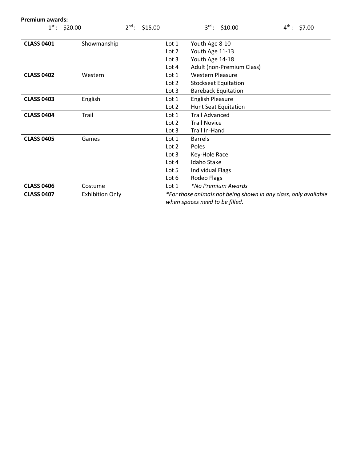| <b>Premium awards:</b> |                        |            |         |                  |                                                                 |                   |        |
|------------------------|------------------------|------------|---------|------------------|-----------------------------------------------------------------|-------------------|--------|
|                        | $1^{st}$ : \$20.00     | $2^{nd}$ : | \$15.00 |                  | $3^{\text{rd}}$ :<br>\$10.00                                    | $4^{\text{th}}$ : | \$7.00 |
|                        |                        |            |         |                  |                                                                 |                   |        |
| <b>CLASS 0401</b>      | Showmanship            |            |         | Lot $1$          | Youth Age 8-10                                                  |                   |        |
|                        |                        |            |         | Lot 2            | Youth Age 11-13                                                 |                   |        |
|                        |                        |            |         | Lot <sub>3</sub> | Youth Age 14-18                                                 |                   |        |
|                        |                        |            |         | Lot $4$          | Adult (non-Premium Class)                                       |                   |        |
| <b>CLASS 0402</b>      | Western                |            |         | Lot $1$          | <b>Western Pleasure</b>                                         |                   |        |
|                        |                        |            |         | Lot $2$          | <b>Stockseat Equitation</b>                                     |                   |        |
|                        |                        |            |         | Lot $3$          | <b>Bareback Equitation</b>                                      |                   |        |
| <b>CLASS 0403</b>      | English                |            |         | Lot $1$          | <b>English Pleasure</b>                                         |                   |        |
|                        |                        |            |         | Lot $2$          | <b>Hunt Seat Equitation</b>                                     |                   |        |
| <b>CLASS 0404</b>      | Trail                  |            |         | Lot $1$          | <b>Trail Advanced</b>                                           |                   |        |
|                        |                        |            |         | Lot <sub>2</sub> | <b>Trail Novice</b>                                             |                   |        |
|                        |                        |            |         | Lot $3$          | Trail In-Hand                                                   |                   |        |
| <b>CLASS 0405</b>      | Games                  |            |         | Lot $1$          | <b>Barrels</b>                                                  |                   |        |
|                        |                        |            |         | Lot <sub>2</sub> | Poles                                                           |                   |        |
|                        |                        |            |         | Lot $3$          | Key-Hole Race                                                   |                   |        |
|                        |                        |            |         | Lot 4            | Idaho Stake                                                     |                   |        |
|                        |                        |            |         | Lot 5            | <b>Individual Flags</b>                                         |                   |        |
|                        |                        |            |         | Lot $6$          | Rodeo Flags                                                     |                   |        |
| <b>CLASS 0406</b>      | Costume                |            |         | Lot $1$          | <i>*No Premium Awards</i>                                       |                   |        |
| <b>CLASS 0407</b>      | <b>Exhibition Only</b> |            |         |                  | *For those animals not being shown in any class, only available |                   |        |
|                        |                        |            |         |                  | when spaces need to be filled.                                  |                   |        |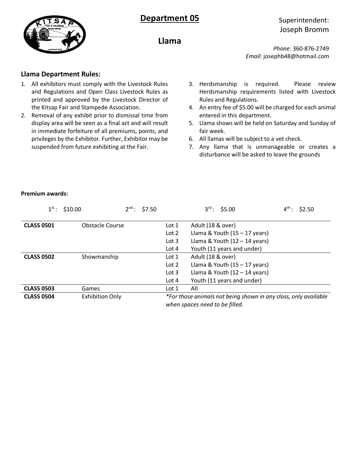

## Superintendent: Joseph Bromm

**Llama**

*Phone:* 360-876-2749 *Email:* josephb48@hotmail.com

#### **Llama Department Rules:**

- 1. All exhibitors must comply with the Livestock Rules and Regulations and Open Class Livestock Rules as printed and approved by the Livestock Director of the Kitsap Fair and Stampede Association.
- 2. Removal of any exhibit prior to dismissal time from display area will be seen as a final act and will result in immediate forfeiture of all premiums, points, and privileges by the Exhibitor. Further, Exhibitor may be suspended from future exhibiting at the Fair.
- 3. Herdsmanship is required. Please review Herdsmanship requirements listed with Livestock Rules and Regulations.
- 4. An entry fee of \$5.00 will be charged for each animal entered in this department.
- 5. Llama shows will be held on Saturday and Sunday of fair week.
- 6. All llamas will be subject to a vet check.
- 7. Any llama that is unmanageable or creates a disturbance will be asked to leave the grounds

| $1^{\text{st}}$ : | \$10.00                | $2^{nd}$ : \$7.50 | $3^{rd}$ : \$5.00                                                                                 | $4^{\text{th}}$ :<br>\$2.50 |
|-------------------|------------------------|-------------------|---------------------------------------------------------------------------------------------------|-----------------------------|
| <b>CLASS 0501</b> | <b>Obstacle Course</b> | Lot 1             | Adult (18 & over)                                                                                 |                             |
|                   |                        | Lot $2$           | Llama & Youth $(15 - 17$ years)                                                                   |                             |
|                   |                        | Lot $3$           | Llama & Youth $(12 - 14$ years)                                                                   |                             |
|                   |                        | Lot 4             | Youth (11 years and under)                                                                        |                             |
| <b>CLASS 0502</b> | Showmanship            | Lot 1             | Adult (18 & over)                                                                                 |                             |
|                   |                        | Lot $2$           | Llama & Youth $(15 - 17$ years)                                                                   |                             |
|                   |                        | Lot $3$           | Llama & Youth $(12 - 14$ years)                                                                   |                             |
|                   |                        | Lot $4$           | Youth (11 years and under)                                                                        |                             |
| <b>CLASS 0503</b> | Games                  | Lot 1             | All                                                                                               |                             |
| <b>CLASS 0504</b> | <b>Exhibition Only</b> |                   | *For those animals not being shown in any class, only available<br>when spaces need to be filled. |                             |

#### **Premium awards:**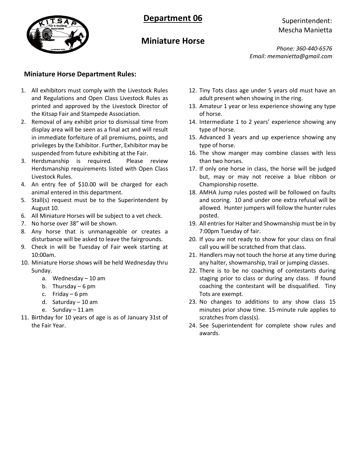

### Superintendent: Mescha Manietta

# **Miniature Horse**

*Phone: 360-440-6576 Email: memanietta@gmail.com*

### **Miniature Horse Department Rules:**

- 1. All exhibitors must comply with the Livestock Rules and Regulations and Open Class Livestock Rules as printed and approved by the Livestock Director of the Kitsap Fair and Stampede Association.
- 2. Removal of any exhibit prior to dismissal time from display area will be seen as a final act and will result in immediate forfeiture of all premiums, points, and privileges by the Exhibitor. Further, Exhibitor may be suspended from future exhibiting at the Fair.
- 3. Herdsmanship is required. Please review Herdsmanship requirements listed with Open Class Livestock Rules.
- 4. An entry fee of \$10.00 will be charged for each animal entered in this department.
- 5. Stall(s) request must be to the Superintendent by August 10.
- 6. All Miniature Horses will be subject to a vet check.
- 7. No horse over 38" will be shown.
- 8. Any horse that is unmanageable or creates a disturbance will be asked to leave the fairgrounds.
- 9. Check in will be Tuesday of Fair week starting at 10:00am.
- 10. Miniature Horse shows will be held Wednesday thru Sunday.
	- a. Wednesday 10 am
	- b. Thursday 6 pm
	- c. Friday 6 pm
	- d. Saturday 10 am
	- e. Sunday 11 am
- 11. Birthday for 10 years of age is as of January 31st of the Fair Year.
- 12. Tiny Tots class age under 5 years old must have an adult present when showing in the ring.
- 13. Amateur 1 year or less experience showing any type of horse.
- 14. Intermediate 1 to 2 years' experience showing any type of horse.
- 15. Advanced 3 years and up experience showing any type of horse.
- 16. The show manger may combine classes with less than two horses.
- 17. If only one horse in class, the horse will be judged but, may or may not receive a blue ribbon or Championship rosette.
- 18. AMHA Jump rules posted will be followed on faults and scoring. 10 and under one extra refusal will be allowed. Hunter jumpers will follow the hunter rules posted.
- 19. All entries for Halter and Showmanship must be in by 7:00pm Tuesday of fair.
- 20. If you are not ready to show for your class on final call you will be scratched from that class.
- 21. Handlers may not touch the horse at any time during any halter, showmanship, trail or jumping classes.
- 22. There is to be no coaching of contestants during staging prior to class or during any class. If found coaching the contestant will be disqualified. Tiny Tots are exempt.
- 23. No changes to additions to any show class 15 minutes prior show time. 15-minute rule applies to scratches from class(s).
- 24. See Superintendent for complete show rules and awards.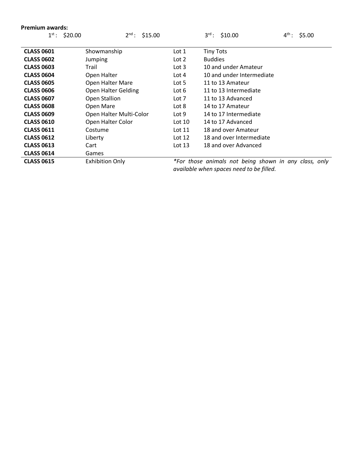| <b>Premium awards:</b>                     |                         |           |                                                       |                   |
|--------------------------------------------|-------------------------|-----------|-------------------------------------------------------|-------------------|
| $1^{\text{st}}$ :<br>\$20.00<br>$2^{nd}$ : |                         | \$15.00   | $3^{\text{rd}}$ :<br>\$10.00                          | $4^{th}$ : \$5.00 |
|                                            |                         |           |                                                       |                   |
| <b>CLASS 0601</b>                          | Showmanship             | Lot 1     | <b>Tiny Tots</b>                                      |                   |
| <b>CLASS 0602</b>                          | Jumping                 | Lot 2     | <b>Buddies</b>                                        |                   |
| <b>CLASS 0603</b>                          | Trail                   | Lot $3$   | 10 and under Amateur                                  |                   |
| <b>CLASS 0604</b>                          | Open Halter             | Lot $4$   | 10 and under Intermediate                             |                   |
| <b>CLASS 0605</b>                          | Open Halter Mare        | Lot $5$   | 11 to 13 Amateur                                      |                   |
| <b>CLASS 0606</b>                          | Open Halter Gelding     | Lot 6     | 11 to 13 Intermediate                                 |                   |
| <b>CLASS 0607</b>                          | Open Stallion           | Lot 7     | 11 to 13 Advanced                                     |                   |
| <b>CLASS 0608</b>                          | Open Mare               | Lot 8     | 14 to 17 Amateur                                      |                   |
| <b>CLASS 0609</b>                          | Open Halter Multi-Color | Lot 9     | 14 to 17 Intermediate                                 |                   |
| <b>CLASS 0610</b>                          | Open Halter Color       | Lot $101$ | 14 to 17 Advanced                                     |                   |
| <b>CLASS 0611</b>                          | Costume                 | Lot 11    | 18 and over Amateur                                   |                   |
| <b>CLASS 0612</b>                          | Liberty                 | Lot $12$  | 18 and over Intermediate                              |                   |
| <b>CLASS 0613</b>                          | Cart                    | Lot $13$  | 18 and over Advanced                                  |                   |
| <b>CLASS 0614</b>                          | Games                   |           |                                                       |                   |
| <b>CLASS 0615</b>                          | <b>Exhibition Only</b>  |           | *For those animals not being shown in any class, only |                   |
|                                            |                         |           | available when spaces need to be filled.              |                   |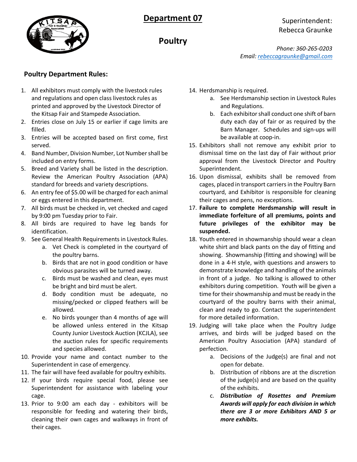

## Superintendent: Rebecca Graunke

**Poultry**

*Phone: 360-265-0203 Email: [rebeccagraunke@gmail.com](mailto:rebeccagraunke@gmail.com)*

### **Poultry Department Rules:**

- 1. All exhibitors must comply with the livestock rules and regulations and open class livestock rules as printed and approved by the Livestock Director of the Kitsap Fair and Stampede Association.
- 2. Entries close on July 15 or earlier if cage limits are filled.
- 3. Entries will be accepted based on first come, first served.
- 4. Band Number, Division Number, Lot Number shall be included on entry forms.
- 5. Breed and Variety shall be listed in the description. Review the American Poultry Association (APA) standard for breeds and variety descriptions.
- 6. An entry fee of \$5.00 will be charged for each animal or eggs entered in this department.
- 7. All birds must be checked in, vet checked and caged by 9:00 pm Tuesday prior to Fair.
- 8. All birds are required to have leg bands for identification.
- 9. See General Health Requirements in Livestock Rules.
	- a. Vet Check is completed in the courtyard of the poultry barns.
	- b. Birds that are not in good condition or have obvious parasites will be turned away.
	- c. Birds must be washed and clean, eyes must be bright and bird must be alert.
	- d. Body condition must be adequate, no missing/pecked or clipped feathers will be allowed.
	- e. No birds younger than 4 months of age will be allowed unless entered in the Kitsap County Junior Livestock Auction (KCJLA), see the auction rules for specific requirements and species allowed.
- 10. Provide your name and contact number to the Superintendent in case of emergency.
- 11. The fair will have feed available for poultry exhibits.
- 12. If your birds require special food, please see Superintendent for assistance with labeling your cage.
- 13. Prior to 9:00 am each day exhibitors will be responsible for feeding and watering their birds, cleaning their own cages and walkways in front of their cages.
- 14. Herdsmanship is required.
	- a. See Herdsmanship section in Livestock Rules and Regulations.
	- b. Each exhibitor shall conduct one shift of barn duty each day of fair or as required by the Barn Manager. Schedules and sign-ups will be available at coop-in.
- 15. Exhibitors shall not remove any exhibit prior to dismissal time on the last day of Fair without prior approval from the Livestock Director and Poultry Superintendent.
- 16. Upon dismissal, exhibits shall be removed from cages, placed in transport carriers in the Poultry Barn courtyard, and Exhibitor is responsible for cleaning their cages and pens, no exceptions.
- 17. **Failure to complete Herdsmanship will result in immediate forfeiture of all premiums, points and future privileges of the exhibitor may be suspended.**
- 18. Youth entered in showmanship should wear a clean white shirt and black pants on the day of fitting and showing. Showmanship (fitting and showing) will be done in a 4-H style, with questions and answers to demonstrate knowledge and handling of the animals in front of a judge. No talking is allowed to other exhibitors during competition. Youth will be given a time for their showmanship and must be ready in the courtyard of the poultry barns with their animal, clean and ready to go. Contact the superintendent for more detailed information.
- 19. Judging will take place when the Poultry Judge arrives, and birds will be judged based on the American Poultry Association (APA) standard of perfection.
	- a. Decisions of the Judge(s) are final and not open for debate.
	- b. Distribution of ribbons are at the discretion of the judge(s) and are based on the quality of the exhibits.
	- c. *Distribution of Rosettes and Premium Awards will apply for each division in which there are 3 or more Exhibitors AND 5 or more exhibits.*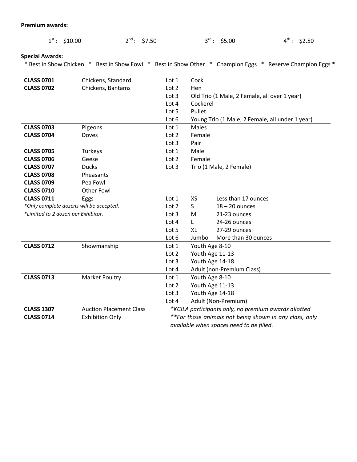#### **Premium awards:**

| $1^{st}$ : \$10.00                 |                                         | $2^{nd}$ : \$7.50 | $3^{\text{rd}}$ : | \$5.00                                       | $4^{\text{th}}$ :<br>\$2.50                                                                               |
|------------------------------------|-----------------------------------------|-------------------|-------------------|----------------------------------------------|-----------------------------------------------------------------------------------------------------------|
| <b>Special Awards:</b>             |                                         |                   |                   |                                              | * Best in Show Chicken * Best in Show Fowl * Best in Show Other * Champion Eggs * Reserve Champion Eggs * |
|                                    |                                         |                   |                   |                                              |                                                                                                           |
| <b>CLASS 0701</b>                  | Chickens, Standard                      | Lot 1             | Cock              |                                              |                                                                                                           |
| <b>CLASS 0702</b>                  | Chickens, Bantams                       | Lot 2             | Hen               |                                              |                                                                                                           |
|                                    |                                         | Lot 3             |                   | Old Trio (1 Male, 2 Female, all over 1 year) |                                                                                                           |
|                                    |                                         | Lot 4             | Cockerel          |                                              |                                                                                                           |
|                                    |                                         | Lot 5             | Pullet            |                                              |                                                                                                           |
|                                    |                                         | Lot 6             |                   |                                              | Young Trio (1 Male, 2 Female, all under 1 year)                                                           |
| <b>CLASS 0703</b>                  | Pigeons                                 | Lot 1             | <b>Males</b>      |                                              |                                                                                                           |
| <b>CLASS 0704</b>                  | Doves                                   | Lot 2             | Female            |                                              |                                                                                                           |
|                                    |                                         | Lot 3             | Pair              |                                              |                                                                                                           |
| <b>CLASS 0705</b>                  | Turkeys                                 | Lot 1             | Male              |                                              |                                                                                                           |
| <b>CLASS 0706</b>                  | Geese                                   | Lot <sub>2</sub>  | Female            |                                              |                                                                                                           |
| <b>CLASS 0707</b>                  | <b>Ducks</b>                            | Lot 3             |                   | Trio (1 Male, 2 Female)                      |                                                                                                           |
| <b>CLASS 0708</b>                  | Pheasants                               |                   |                   |                                              |                                                                                                           |
| <b>CLASS 0709</b>                  | Pea Fowl                                |                   |                   |                                              |                                                                                                           |
| <b>CLASS 0710</b>                  | <b>Other Fowl</b>                       |                   |                   |                                              |                                                                                                           |
| <b>CLASS 0711</b>                  | Eggs                                    | Lot 1             | <b>XS</b>         | Less than 17 ounces                          |                                                                                                           |
|                                    | *Only complete dozens will be accepted. | Lot 2             | S.                | $18 - 20$ ounces                             |                                                                                                           |
| *Limited to 2 dozen per Exhibitor. |                                         | Lot 3             | м                 | 21-23 ounces                                 |                                                                                                           |
|                                    |                                         | Lot 4             | L                 | 24-26 ounces                                 |                                                                                                           |
|                                    |                                         | Lot 5             | XL                | 27-29 ounces                                 |                                                                                                           |
|                                    |                                         | Lot 6             | Jumbo             | More than 30 ounces                          |                                                                                                           |
| <b>CLASS 0712</b>                  | Showmanship                             | Lot 1             | Youth Age 8-10    |                                              |                                                                                                           |
|                                    |                                         | Lot 2             | Youth Age 11-13   |                                              |                                                                                                           |
|                                    |                                         | Lot 3             | Youth Age 14-18   |                                              |                                                                                                           |
|                                    |                                         | Lot 4             |                   | Adult (non-Premium Class)                    |                                                                                                           |
| <b>CLASS 0713</b>                  | Market Poultry                          | Lot 1             | Youth Age 8-10    |                                              |                                                                                                           |
|                                    |                                         | Lot 2             | Youth Age 11-13   |                                              |                                                                                                           |
|                                    |                                         | Lot 3             | Youth Age 14-18   |                                              |                                                                                                           |
|                                    |                                         | Lot 4             |                   | Adult (Non-Premium)                          |                                                                                                           |

**CLASS 1307** Auction Placement Class *\*KCJLA participants only, no premium awards allotted* **CLASS 0714** Exhibition Only *\*\*For those animals not being shown in any class, only available when spaces need to be filled.*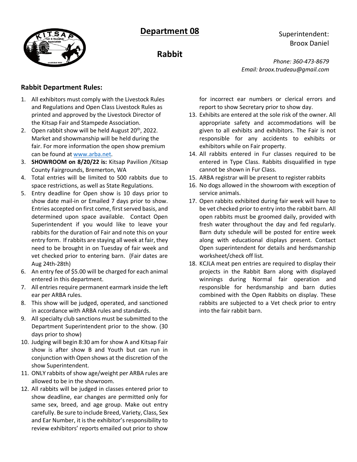



**Rabbit**

Superintendent: Broox Daniel

*Phone: 360-473-8679 Email: broox.trudeau@gmail.com*

### **Rabbit Department Rules:**

- 1. All exhibitors must comply with the Livestock Rules and Regulations and Open Class Livestock Rules as printed and approved by the Livestock Director of the Kitsap Fair and Stampede Association.
- 2. Open rabbit show will be held August  $20<sup>th</sup>$ , 2022. Market and showmanship will be held during the fair. For more information the open show premium can be found at [www.arba.net.](http://www.arba.net/)
- 3. **SHOWROOM on 8/20/22 is:** Kitsap Pavilion /Kitsap County Fairgrounds, Bremerton, WA
- 4. Total entries will be limited to 500 rabbits due to space restrictions, as well as State Regulations.
- 5. Entry deadline for Open show is 10 days prior to show date mail-in or Emailed 7 days prior to show. Entries accepted on first come, first served basis, and determined upon space available. Contact Open Superintendent if you would like to leave your rabbits for the duration of Fair and note this on your entry form. If rabbits are staying all week at fair, they need to be brought in on Tuesday of fair week and vet checked prior to entering barn. (Fair dates are Aug 24th-28th)
- 6. An entry fee of \$5.00 will be charged for each animal entered in this department.
- 7. All entries require permanent earmark inside the left ear per ARBA rules.
- 8. This show will be judged, operated, and sanctioned in accordance with ARBA rules and standards.
- 9. All specialty club sanctions must be submitted to the Department Superintendent prior to the show. (30 days prior to show)
- 10. Judging will begin 8:30 am for show A and Kitsap Fair show is after show B and Youth but can run in conjunction with Open shows at the discretion of the show Superintendent.
- 11. ONLY rabbits of show age/weight per ARBA rules are allowed to be in the showroom.
- 12. All rabbits will be judged in classes entered prior to show deadline, ear changes are permitted only for same sex, breed, and age group. Make out entry carefully. Be sure to include Breed, Variety, Class, Sex and Ear Number, it is the exhibitor's responsibility to review exhibitors' reports emailed out prior to show

for incorrect ear numbers or clerical errors and report to show Secretary prior to show day.

- 13. Exhibits are entered at the sole risk of the owner. All appropriate safety and accommodations will be given to all exhibits and exhibitors. The Fair is not responsible for any accidents to exhibits or exhibitors while on Fair property.
- 14. All rabbits entered in Fur classes required to be entered in Type Class. Rabbits disqualified in type cannot be shown in Fur Class.
- 15. ARBA registrar will be present to register rabbits
- 16. No dogs allowed in the showroom with exception of service animals.
- 17. Open rabbits exhibited during fair week will have to be vet checked prior to entry into the rabbit barn. All open rabbits must be groomed daily, provided with fresh water throughout the day and fed regularly. Barn duty schedule will be posted for entire week along with educational displays present. Contact Open superintendent for details and herdsmanship worksheet/check off list.
- 18. KCJLA meat pen entries are required to display their projects in the Rabbit Barn along with displayed winnings during Normal fair operation and responsible for herdsmanship and barn duties combined with the Open Rabbits on display. These rabbits are subjected to a Vet check prior to entry into the fair rabbit barn.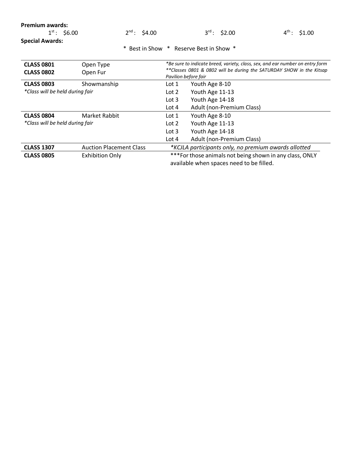| ---------         |                   |                          |                   |
|-------------------|-------------------|--------------------------|-------------------|
| $1^{st}$ : \$6.00 | $2^{nd}$ : \$4.00 | $3^{\text{rd}}$ : \$2.00 | $4^{th}$ : \$1.00 |

**Special Awards:**

\* Best in Show \* Reserve Best in Show \*

| <b>CLASS 0801</b><br><b>CLASS 0802</b> | Open Type<br>Open Fur          | *Be sure to indicate breed, variety, class, sex, and ear number on entry form<br>**Classes 0801 & 0802 will be during the SATURDAY SHOW in the Kitsap<br>Pavilion before fair |                           |  |
|----------------------------------------|--------------------------------|-------------------------------------------------------------------------------------------------------------------------------------------------------------------------------|---------------------------|--|
| <b>CLASS 0803</b>                      | Showmanship                    | Lot 1                                                                                                                                                                         | Youth Age 8-10            |  |
| *Class will be held during fair        |                                | Lot 2                                                                                                                                                                         | Youth Age 11-13           |  |
|                                        |                                | Lot $3$                                                                                                                                                                       | Youth Age 14-18           |  |
|                                        |                                | Lot $4$                                                                                                                                                                       | Adult (non-Premium Class) |  |
| <b>CLASS 0804</b>                      | Market Rabbit                  | Lot 1                                                                                                                                                                         | Youth Age 8-10            |  |
| *Class will be held during fair        |                                | Lot $2$                                                                                                                                                                       | Youth Age 11-13           |  |
|                                        |                                | Lot $3$                                                                                                                                                                       | Youth Age 14-18           |  |
|                                        |                                | Lot $4$                                                                                                                                                                       | Adult (non-Premium Class) |  |
| <b>CLASS 1307</b>                      | <b>Auction Placement Class</b> | *KCJLA participants only, no premium awards allotted                                                                                                                          |                           |  |
| <b>CLASS 0805</b>                      | <b>Exhibition Only</b>         | *** For those animals not being shown in any class, ONLY                                                                                                                      |                           |  |
|                                        |                                | available when spaces need to be filled.                                                                                                                                      |                           |  |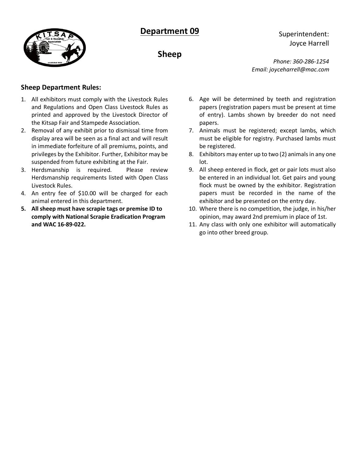



**Sheep**

Superintendent: Joyce Harrell

*Phone: 360-286-1254 Email: joyceharrell@mac.com*

### **Sheep Department Rules:**

- 1. All exhibitors must comply with the Livestock Rules and Regulations and Open Class Livestock Rules as printed and approved by the Livestock Director of the Kitsap Fair and Stampede Association.
- 2. Removal of any exhibit prior to dismissal time from display area will be seen as a final act and will result in immediate forfeiture of all premiums, points, and privileges by the Exhibitor. Further, Exhibitor may be suspended from future exhibiting at the Fair.
- 3. Herdsmanship is required. Please review Herdsmanship requirements listed with Open Class Livestock Rules.
- 4. An entry fee of \$10.00 will be charged for each animal entered in this department.
- **5. All sheep must have scrapie tags or premise ID to comply with National Scrapie Eradication Program and WAC 16-89-022.**
- 6. Age will be determined by teeth and registration papers (registration papers must be present at time of entry). Lambs shown by breeder do not need papers.
- 7. Animals must be registered; except lambs, which must be eligible for registry. Purchased lambs must be registered.
- 8. Exhibitors may enter up to two (2) animals in any one lot.
- 9. All sheep entered in flock, get or pair lots must also be entered in an individual lot. Get pairs and young flock must be owned by the exhibitor. Registration papers must be recorded in the name of the exhibitor and be presented on the entry day.
- 10. Where there is no competition, the judge, in his/her opinion, may award 2nd premium in place of 1st.
- 11. Any class with only one exhibitor will automatically go into other breed group.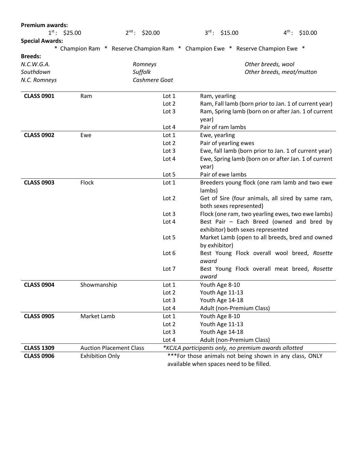| <b>Premium awards:</b> |                                                                               |                    |        |                                          |                                                                                                               |         |
|------------------------|-------------------------------------------------------------------------------|--------------------|--------|------------------------------------------|---------------------------------------------------------------------------------------------------------------|---------|
|                        | $1^{st}$ : \$25.00                                                            | $2^{nd}$ : \$20.00 |        | $3^{rd}$ : \$15.00                       | $4^{\text{th}}$ :                                                                                             | \$10.00 |
| <b>Special Awards:</b> |                                                                               |                    |        |                                          |                                                                                                               |         |
|                        | * Champion Ram * Reserve Champion Ram * Champion Ewe * Reserve Champion Ewe * |                    |        |                                          |                                                                                                               |         |
| <b>Breeds:</b>         |                                                                               |                    |        |                                          |                                                                                                               |         |
| N.C.W.G.A.             |                                                                               | Romneys            |        |                                          | Other breeds, wool                                                                                            |         |
| Southdown              |                                                                               | Suffolk            |        |                                          | Other breeds, meat/mutton                                                                                     |         |
| N.C. Romneys           |                                                                               | Cashmere Goat      |        |                                          |                                                                                                               |         |
| <b>CLASS 0901</b>      | Ram                                                                           | Lot 1              |        | Ram, yearling                            |                                                                                                               |         |
|                        |                                                                               | Lot 2              |        |                                          | Ram, Fall lamb (born prior to Jan. 1 of current year)                                                         |         |
|                        |                                                                               | Lot 3              |        |                                          | Ram, Spring lamb (born on or after Jan. 1 of current                                                          |         |
|                        |                                                                               |                    | year)  |                                          |                                                                                                               |         |
|                        |                                                                               | Lot 4              |        | Pair of ram lambs                        |                                                                                                               |         |
| <b>CLASS 0902</b>      | Ewe                                                                           | Lot 1              |        | Ewe, yearling                            |                                                                                                               |         |
|                        |                                                                               | Lot 2              |        | Pair of yearling ewes                    |                                                                                                               |         |
|                        |                                                                               | Lot 3              |        |                                          | Ewe, fall lamb (born prior to Jan. 1 of current year)<br>Ewe, Spring lamb (born on or after Jan. 1 of current |         |
|                        |                                                                               | Lot 4              | year)  |                                          |                                                                                                               |         |
|                        |                                                                               | Lot 5              |        | Pair of ewe lambs                        |                                                                                                               |         |
| <b>CLASS 0903</b>      | Flock                                                                         | Lot 1              |        |                                          | Breeders young flock (one ram lamb and two ewe                                                                |         |
|                        |                                                                               |                    | lambs) |                                          |                                                                                                               |         |
|                        |                                                                               | Lot 2              |        |                                          | Get of Sire (four animals, all sired by same ram,                                                             |         |
|                        |                                                                               |                    |        | both sexes represented)                  |                                                                                                               |         |
|                        |                                                                               | Lot 3              |        |                                          | Flock (one ram, two yearling ewes, two ewe lambs)                                                             |         |
|                        |                                                                               | Lot 4              |        |                                          | Best Pair - Each Breed (owned and bred by                                                                     |         |
|                        |                                                                               |                    |        | exhibitor) both sexes represented        |                                                                                                               |         |
|                        |                                                                               | Lot 5              |        |                                          | Market Lamb (open to all breeds, bred and owned                                                               |         |
|                        |                                                                               |                    |        | by exhibitor)                            |                                                                                                               |         |
|                        |                                                                               | Lot 6              |        |                                          | Best Young Flock overall wool breed, Rosette                                                                  |         |
|                        |                                                                               |                    | award  |                                          |                                                                                                               |         |
|                        |                                                                               | Lot 7              |        |                                          | Best Young Flock overall meat breed, Rosette                                                                  |         |
|                        |                                                                               |                    | award  |                                          |                                                                                                               |         |
| <b>CLASS 0904</b>      | Showmanship                                                                   | Lot 1              |        | Youth Age 8-10                           |                                                                                                               |         |
|                        |                                                                               | Lot 2              |        | Youth Age 11-13                          |                                                                                                               |         |
|                        |                                                                               | Lot 3              |        | Youth Age 14-18                          |                                                                                                               |         |
|                        |                                                                               | Lot 4              |        | Adult (non-Premium Class)                |                                                                                                               |         |
| <b>CLASS 0905</b>      | Market Lamb                                                                   | Lot 1              |        | Youth Age 8-10                           |                                                                                                               |         |
|                        |                                                                               | Lot 2              |        | Youth Age 11-13                          |                                                                                                               |         |
|                        |                                                                               | Lot 3              |        | Youth Age 14-18                          |                                                                                                               |         |
|                        |                                                                               | Lot 4              |        | Adult (non-Premium Class)                |                                                                                                               |         |
| <b>CLASS 1309</b>      | <b>Auction Placement Class</b>                                                |                    |        |                                          | *KCJLA participants only, no premium awards allotted                                                          |         |
| <b>CLASS 0906</b>      | <b>Exhibition Only</b>                                                        |                    |        |                                          | ***For those animals not being shown in any class, ONLY                                                       |         |
|                        |                                                                               |                    |        | available when spaces need to be filled. |                                                                                                               |         |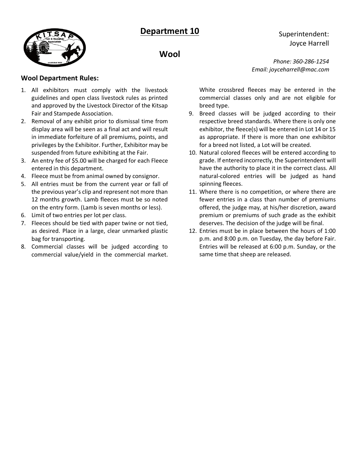



**Wool** 

#### **Wool Department Rules:**

- 1. All exhibitors must comply with the livestock guidelines and open class livestock rules as printed and approved by the Livestock Director of the Kitsap Fair and Stampede Association.
- 2. Removal of any exhibit prior to dismissal time from display area will be seen as a final act and will result in immediate forfeiture of all premiums, points, and privileges by the Exhibitor. Further, Exhibitor may be suspended from future exhibiting at the Fair.
- 3. An entry fee of \$5.00 will be charged for each Fleece entered in this department.
- 4. Fleece must be from animal owned by consignor.
- 5. All entries must be from the current year or fall of the previous year's clip and represent not more than 12 months growth. Lamb fleeces must be so noted on the entry form. (Lamb is seven months or less).
- 6. Limit of two entries per lot per class.
- 7. Fleeces should be tied with paper twine or not tied, as desired. Place in a large, clear unmarked plastic bag for transporting.
- 8. Commercial classes will be judged according to commercial value/yield in the commercial market.

*Phone: 360-286-1254 Email: joyceharrell@mac.com*

Superintendent: Joyce Harrell

White crossbred fleeces may be entered in the commercial classes only and are not eligible for breed type.

- 9. Breed classes will be judged according to their respective breed standards. Where there is only one exhibitor, the fleece(s) will be entered in Lot 14 or 15 as appropriate. If there is more than one exhibitor for a breed not listed, a Lot will be created.
- 10. Natural colored fleeces will be entered according to grade. If entered incorrectly, the Superintendent will have the authority to place it in the correct class. All natural-colored entries will be judged as hand spinning fleeces.
- 11. Where there is no competition, or where there are fewer entries in a class than number of premiums offered, the judge may, at his/her discretion, award premium or premiums of such grade as the exhibit deserves. The decision of the judge will be final.
- 12. Entries must be in place between the hours of 1:00 p.m. and 8:00 p.m. on Tuesday, the day before Fair. Entries will be released at 6:00 p.m. Sunday, or the same time that sheep are released.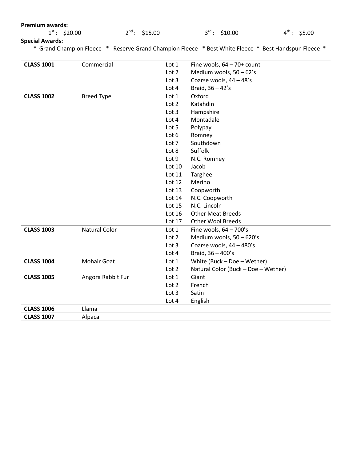| $1^{\text{st}}$ :<br>\$20.00<br>$2^{nd}$ : \$15.00<br>$3^{rd}$ : \$10.00<br>$4^{\text{th}}$ :<br>\$5.00<br><b>Special Awards:</b><br>* Grand Champion Fleece * Reserve Grand Champion Fleece * Best White Fleece * Best Handspun Fleece *<br><b>CLASS 1001</b><br>Commercial<br>Fine wools, $64 - 70+$ count<br>Lot 1<br>Lot 2<br>Medium wools, 50 - 62's<br>Coarse wools, 44 - 48's<br>Lot <sub>3</sub><br>Braid, $36 - 42's$<br>Lot $4$<br><b>CLASS 1002</b><br>Oxford<br><b>Breed Type</b><br>Lot 1<br>Katahdin<br>Lot $2$<br>Lot <sub>3</sub><br>Hampshire<br>Lot 4<br>Montadale<br>Lot 5<br>Polypay<br>Lot 6<br>Romney<br>Southdown<br>Lot 7<br>Suffolk<br>Lot 8<br>Lot 9<br>N.C. Romney<br>Lot 10<br>Jacob<br>Lot $11$<br>Targhee<br>Lot $12$<br>Merino<br>Coopworth<br>Lot $13$<br>N.C. Coopworth<br>Lot $14$<br>N.C. Lincoln<br>Lot 15<br>Lot 16<br><b>Other Meat Breeds</b><br>Other Wool Breeds<br>Lot 17<br><b>CLASS 1003</b><br><b>Natural Color</b><br>Fine wools, $64 - 700$ 's<br>Lot 1<br>Medium wools, 50 - 620's<br>Lot 2<br>Lot 3<br>Coarse wools, 44 - 480's<br>Lot 4<br>Braid, 36 - 400's<br><b>CLASS 1004</b><br><b>Mohair Goat</b><br>White (Buck - Doe - Wether)<br>Lot 1<br>Lot 2<br>Natural Color (Buck - Doe - Wether)<br><b>CLASS 1005</b><br>Angora Rabbit Fur<br>Giant<br>Lot 1<br>Lot $2$<br>French | <b>Premium awards:</b> |  |       |       |  |  |
|------------------------------------------------------------------------------------------------------------------------------------------------------------------------------------------------------------------------------------------------------------------------------------------------------------------------------------------------------------------------------------------------------------------------------------------------------------------------------------------------------------------------------------------------------------------------------------------------------------------------------------------------------------------------------------------------------------------------------------------------------------------------------------------------------------------------------------------------------------------------------------------------------------------------------------------------------------------------------------------------------------------------------------------------------------------------------------------------------------------------------------------------------------------------------------------------------------------------------------------------------------------------------------------------------------------------------------|------------------------|--|-------|-------|--|--|
|                                                                                                                                                                                                                                                                                                                                                                                                                                                                                                                                                                                                                                                                                                                                                                                                                                                                                                                                                                                                                                                                                                                                                                                                                                                                                                                                    |                        |  |       |       |  |  |
|                                                                                                                                                                                                                                                                                                                                                                                                                                                                                                                                                                                                                                                                                                                                                                                                                                                                                                                                                                                                                                                                                                                                                                                                                                                                                                                                    |                        |  |       |       |  |  |
|                                                                                                                                                                                                                                                                                                                                                                                                                                                                                                                                                                                                                                                                                                                                                                                                                                                                                                                                                                                                                                                                                                                                                                                                                                                                                                                                    |                        |  |       |       |  |  |
|                                                                                                                                                                                                                                                                                                                                                                                                                                                                                                                                                                                                                                                                                                                                                                                                                                                                                                                                                                                                                                                                                                                                                                                                                                                                                                                                    |                        |  |       |       |  |  |
|                                                                                                                                                                                                                                                                                                                                                                                                                                                                                                                                                                                                                                                                                                                                                                                                                                                                                                                                                                                                                                                                                                                                                                                                                                                                                                                                    |                        |  |       |       |  |  |
|                                                                                                                                                                                                                                                                                                                                                                                                                                                                                                                                                                                                                                                                                                                                                                                                                                                                                                                                                                                                                                                                                                                                                                                                                                                                                                                                    |                        |  |       |       |  |  |
|                                                                                                                                                                                                                                                                                                                                                                                                                                                                                                                                                                                                                                                                                                                                                                                                                                                                                                                                                                                                                                                                                                                                                                                                                                                                                                                                    |                        |  |       |       |  |  |
|                                                                                                                                                                                                                                                                                                                                                                                                                                                                                                                                                                                                                                                                                                                                                                                                                                                                                                                                                                                                                                                                                                                                                                                                                                                                                                                                    |                        |  |       |       |  |  |
|                                                                                                                                                                                                                                                                                                                                                                                                                                                                                                                                                                                                                                                                                                                                                                                                                                                                                                                                                                                                                                                                                                                                                                                                                                                                                                                                    |                        |  |       |       |  |  |
|                                                                                                                                                                                                                                                                                                                                                                                                                                                                                                                                                                                                                                                                                                                                                                                                                                                                                                                                                                                                                                                                                                                                                                                                                                                                                                                                    |                        |  |       |       |  |  |
|                                                                                                                                                                                                                                                                                                                                                                                                                                                                                                                                                                                                                                                                                                                                                                                                                                                                                                                                                                                                                                                                                                                                                                                                                                                                                                                                    |                        |  |       |       |  |  |
|                                                                                                                                                                                                                                                                                                                                                                                                                                                                                                                                                                                                                                                                                                                                                                                                                                                                                                                                                                                                                                                                                                                                                                                                                                                                                                                                    |                        |  |       |       |  |  |
|                                                                                                                                                                                                                                                                                                                                                                                                                                                                                                                                                                                                                                                                                                                                                                                                                                                                                                                                                                                                                                                                                                                                                                                                                                                                                                                                    |                        |  |       |       |  |  |
|                                                                                                                                                                                                                                                                                                                                                                                                                                                                                                                                                                                                                                                                                                                                                                                                                                                                                                                                                                                                                                                                                                                                                                                                                                                                                                                                    |                        |  |       |       |  |  |
|                                                                                                                                                                                                                                                                                                                                                                                                                                                                                                                                                                                                                                                                                                                                                                                                                                                                                                                                                                                                                                                                                                                                                                                                                                                                                                                                    |                        |  |       |       |  |  |
|                                                                                                                                                                                                                                                                                                                                                                                                                                                                                                                                                                                                                                                                                                                                                                                                                                                                                                                                                                                                                                                                                                                                                                                                                                                                                                                                    |                        |  |       |       |  |  |
|                                                                                                                                                                                                                                                                                                                                                                                                                                                                                                                                                                                                                                                                                                                                                                                                                                                                                                                                                                                                                                                                                                                                                                                                                                                                                                                                    |                        |  |       |       |  |  |
|                                                                                                                                                                                                                                                                                                                                                                                                                                                                                                                                                                                                                                                                                                                                                                                                                                                                                                                                                                                                                                                                                                                                                                                                                                                                                                                                    |                        |  |       |       |  |  |
|                                                                                                                                                                                                                                                                                                                                                                                                                                                                                                                                                                                                                                                                                                                                                                                                                                                                                                                                                                                                                                                                                                                                                                                                                                                                                                                                    |                        |  |       |       |  |  |
|                                                                                                                                                                                                                                                                                                                                                                                                                                                                                                                                                                                                                                                                                                                                                                                                                                                                                                                                                                                                                                                                                                                                                                                                                                                                                                                                    |                        |  |       |       |  |  |
|                                                                                                                                                                                                                                                                                                                                                                                                                                                                                                                                                                                                                                                                                                                                                                                                                                                                                                                                                                                                                                                                                                                                                                                                                                                                                                                                    |                        |  |       |       |  |  |
|                                                                                                                                                                                                                                                                                                                                                                                                                                                                                                                                                                                                                                                                                                                                                                                                                                                                                                                                                                                                                                                                                                                                                                                                                                                                                                                                    |                        |  |       |       |  |  |
|                                                                                                                                                                                                                                                                                                                                                                                                                                                                                                                                                                                                                                                                                                                                                                                                                                                                                                                                                                                                                                                                                                                                                                                                                                                                                                                                    |                        |  |       |       |  |  |
|                                                                                                                                                                                                                                                                                                                                                                                                                                                                                                                                                                                                                                                                                                                                                                                                                                                                                                                                                                                                                                                                                                                                                                                                                                                                                                                                    |                        |  |       |       |  |  |
|                                                                                                                                                                                                                                                                                                                                                                                                                                                                                                                                                                                                                                                                                                                                                                                                                                                                                                                                                                                                                                                                                                                                                                                                                                                                                                                                    |                        |  |       |       |  |  |
|                                                                                                                                                                                                                                                                                                                                                                                                                                                                                                                                                                                                                                                                                                                                                                                                                                                                                                                                                                                                                                                                                                                                                                                                                                                                                                                                    |                        |  |       |       |  |  |
|                                                                                                                                                                                                                                                                                                                                                                                                                                                                                                                                                                                                                                                                                                                                                                                                                                                                                                                                                                                                                                                                                                                                                                                                                                                                                                                                    |                        |  |       |       |  |  |
|                                                                                                                                                                                                                                                                                                                                                                                                                                                                                                                                                                                                                                                                                                                                                                                                                                                                                                                                                                                                                                                                                                                                                                                                                                                                                                                                    |                        |  |       |       |  |  |
|                                                                                                                                                                                                                                                                                                                                                                                                                                                                                                                                                                                                                                                                                                                                                                                                                                                                                                                                                                                                                                                                                                                                                                                                                                                                                                                                    |                        |  |       |       |  |  |
|                                                                                                                                                                                                                                                                                                                                                                                                                                                                                                                                                                                                                                                                                                                                                                                                                                                                                                                                                                                                                                                                                                                                                                                                                                                                                                                                    |                        |  |       |       |  |  |
|                                                                                                                                                                                                                                                                                                                                                                                                                                                                                                                                                                                                                                                                                                                                                                                                                                                                                                                                                                                                                                                                                                                                                                                                                                                                                                                                    |                        |  |       |       |  |  |
|                                                                                                                                                                                                                                                                                                                                                                                                                                                                                                                                                                                                                                                                                                                                                                                                                                                                                                                                                                                                                                                                                                                                                                                                                                                                                                                                    |                        |  |       |       |  |  |
|                                                                                                                                                                                                                                                                                                                                                                                                                                                                                                                                                                                                                                                                                                                                                                                                                                                                                                                                                                                                                                                                                                                                                                                                                                                                                                                                    |                        |  | Lot 3 | Satin |  |  |
| Lot 4<br>English                                                                                                                                                                                                                                                                                                                                                                                                                                                                                                                                                                                                                                                                                                                                                                                                                                                                                                                                                                                                                                                                                                                                                                                                                                                                                                                   |                        |  |       |       |  |  |
| <b>CLASS 1006</b><br>Llama                                                                                                                                                                                                                                                                                                                                                                                                                                                                                                                                                                                                                                                                                                                                                                                                                                                                                                                                                                                                                                                                                                                                                                                                                                                                                                         |                        |  |       |       |  |  |
| <b>CLASS 1007</b><br>Alpaca                                                                                                                                                                                                                                                                                                                                                                                                                                                                                                                                                                                                                                                                                                                                                                                                                                                                                                                                                                                                                                                                                                                                                                                                                                                                                                        |                        |  |       |       |  |  |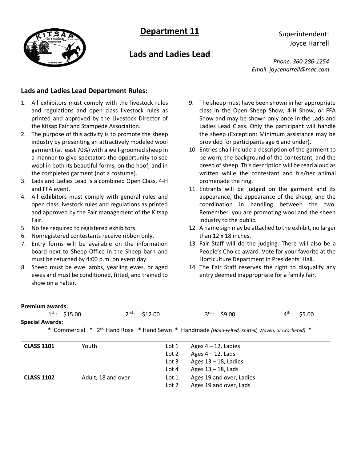

# **Lads and Ladies Lead**

Superintendent: Joyce Harrell

*Phone: 360-286-1254 Email: joyceharrell@mac.com*

#### **Lads and Ladies Lead Department Rules:**

- 1. All exhibitors must comply with the livestock rules and regulations and open class livestock rules as printed and approved by the Livestock Director of the Kitsap Fair and Stampede Association.
- 2. The purpose of this activity is to promote the sheep industry by presenting an attractively modeled wool garment (at least 70%) with a well-groomed sheep in a manner to give spectators the opportunity to see wool in both its beautiful forms, on the hoof, and in the completed garment (not a costume).
- 3. Lads and Ladies Lead is a combined Open Class, 4-H and FFA event.
- 4. All exhibitors must comply with general rules and open class livestock rules and regulations as printed and approved by the Fair management of the Kitsap Fair.
- 5. No fee required to registered exhibitors.
- 6. Nonregistered contestants receive ribbon only.
- 7. Entry forms will be available on the information board next to Sheep Office in the Sheep barn and must be returned by 4:00 p.m. on event day.
- 8. Sheep must be ewe lambs, yearling ewes, or aged ewes and must be conditioned, fitted, and trained to show on a halter.
- 9. The sheep must have been shown in her appropriate class in the Open Sheep Show, 4-H Show, or FFA Show and may be shown only once in the Lads and Ladies Lead Class. Only the participant will handle the sheep (Exception: Minimum assistance may be provided for participants age 6 and under).
- 10. Entries shall include a description of the garment to be worn, the background of the contestant, and the breed of sheep. This description will be read aloud as written while the contestant and his/her animal promenade the ring.
- 11. Entrants will be judged on the garment and its appearance, the appearance of the sheep, and the coordination in handling between the two. Remember, you are promoting wool and the sheep industry to the public.
- 12. A name sign may be attached to the exhibit, no larger than 12 x 18 inches.
- 13. Fair Staff will do the judging. There will also be a People's Choice award. Vote for your favorite at the Horticulture Department in Presidents' Hall.
- 14. The Fair Staff reserves the right to disqualify any entry deemed inappropriate for a family fair.

| <b>Premium awards:</b> |                    |                    |                                                                                                               |                   |
|------------------------|--------------------|--------------------|---------------------------------------------------------------------------------------------------------------|-------------------|
|                        | $1^{st}$ : \$15.00 | $2^{nd}$ : \$12.00 | $3^{rd}$ : \$9.00                                                                                             | $4^{th}$ : \$5.00 |
| <b>Special Awards:</b> |                    |                    |                                                                                                               |                   |
|                        |                    |                    | * Commercial * 2 <sup>nd</sup> Hand Rose * Hand Sewn * Handmade (Hand-Felted, Knitted, Woven, or Crocheted) * |                   |
|                        |                    |                    |                                                                                                               |                   |
| <b>CLASS 1101</b>      | Youth              | Lot 1              | Ages $4 - 12$ , Ladies                                                                                        |                   |
|                        |                    | Lot $2$            | Ages $4 - 12$ , Lads                                                                                          |                   |
|                        |                    | Lot $3$            | Ages $13 - 18$ , Ladies                                                                                       |                   |
|                        |                    | Lot $4$            | Ages $13 - 18$ , Lads                                                                                         |                   |
| <b>CLASS 1102</b>      | Adult, 18 and over | Lot 1              | Ages 19 and over, Ladies                                                                                      |                   |

Lot 2 Ages 19 and over, Lads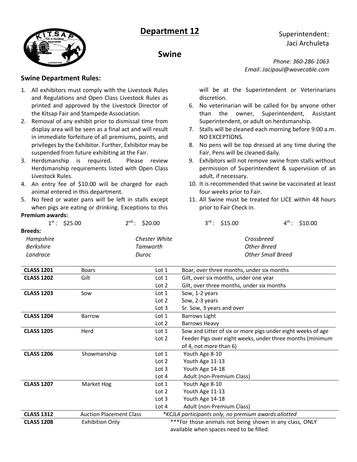



**Swine**

- 1. All exhibitors must comply with the Livestock Rules and Regulations and Open Class Livestock Rules as printed and approved by the Livestock Director of the Kitsap Fair and Stampede Association.
- 2. Removal of any exhibit prior to dismissal time from display area will be seen as a final act and will result in immediate forfeiture of all premiums, points, and privileges by the Exhibitor. Further, Exhibitor may be suspended from future exhibiting at the Fair.
- 3. Herdsmanship is required. Please review Herdsmanship requirements listed with Open Class Livestock Rules.
- 4. An entry fee of \$10.00 will be charged for each animal entered in this department.
- 5. No feed or water pans will be left in stalls except when pigs are eating or drinking. Exceptions to this

# **Premium awards:**<br>1st - < < 25.00

| L. STO.OO        | Z : 520.00    |
|------------------|---------------|
| <b>Breeds:</b>   |               |
| Hampshire        | Chester White |
| <b>Berkshire</b> | Tamworth      |
| Landrace         | Duroc         |
|                  |               |

*Phone: 360-286-1063 Email: Jacipaul@wavecable.com*

Superintendent: Jaci Archuleta

will be at the Superintendent or Veterinarians discretion.

- 6. No veterinarian will be called for by anyone other than the owner, Superintendent, Assistant Superintendent, or adult on herdsmanship.
- 7. Stalls will be cleaned each morning before 9:00 a.m. NO EXCEPTIONS.
- 8. No pens will be top dressed at any time during the Fair. Pens will be cleaned daily.
- 9. Exhibitors will not remove swine from stalls without permission of Superintendent & supervision of an adult, if necessary.
- 10. It is recommended that swine be vaccinated at least four weeks prior to Fair.
- 11. All Swine must be treated for LICE within 48 hours prior to Fair Check in.

| $2^{nd}$ : \$20.00 | $3^{\text{rd}}$ : \$15.00 | $4^{th}$ : \$10.00 |
|--------------------|---------------------------|--------------------|
| Chester White      | Crossbreed                |                    |
| Tamworth           | Other Breed               |                    |
| Duroc              | <b>Other Small Breed</b>  |                    |

| <b>CLASS 1201</b> | <b>Boars</b>                   | Lot $1$                                  | Boar, over three months, under six months                   |  |
|-------------------|--------------------------------|------------------------------------------|-------------------------------------------------------------|--|
| <b>CLASS 1202</b> | Gilt                           | Lot $1$                                  | Gilt, over six months, under one year                       |  |
|                   |                                | Lot 2                                    | Gilt, over three months, under six months                   |  |
| <b>CLASS 1203</b> | Sow                            | Lot $1$                                  | Sow, 1-2 years                                              |  |
|                   |                                | Lot 2                                    | Sow, 2-3 years                                              |  |
|                   |                                | Lot 3                                    | Sr. Sow, 3 years and over                                   |  |
| <b>CLASS 1204</b> | <b>Barrow</b>                  | Lot 1                                    | <b>Barrows Light</b>                                        |  |
|                   |                                | Lot 2                                    | Barrows Heavy                                               |  |
| <b>CLASS 1205</b> | Herd                           | Lot <sub>1</sub>                         | Sow and Litter of six or more pigs under eight weeks of age |  |
|                   |                                | Lot $2$                                  | Feeder Pigs over eight weeks, under three months (minimum   |  |
|                   |                                |                                          | of 4, not more than 6)                                      |  |
| <b>CLASS 1206</b> | Showmanship                    | Lot 1                                    | Youth Age 8-10                                              |  |
|                   |                                | Lot 2                                    | Youth Age 11-13                                             |  |
|                   |                                | Lot $3$                                  | Youth Age 14-18                                             |  |
|                   |                                | Lot $4$                                  | Adult (non-Premium Class)                                   |  |
| <b>CLASS 1207</b> | Market Hog                     | Lot <sub>1</sub>                         | Youth Age 8-10                                              |  |
|                   |                                | Lot <sub>2</sub>                         | Youth Age 11-13                                             |  |
|                   |                                | Lot $3$                                  | Youth Age 14-18                                             |  |
|                   |                                | Lot $4$                                  | Adult (non-Premium Class)                                   |  |
| <b>CLASS 1312</b> | <b>Auction Placement Class</b> |                                          | *KCJLA participants only, no premium awards allotted        |  |
| <b>CLASS 1208</b> | <b>Exhibition Only</b>         |                                          | ***For those animals not being shown in any class, ONLY     |  |
|                   |                                | available when spaces need to be filled. |                                                             |  |